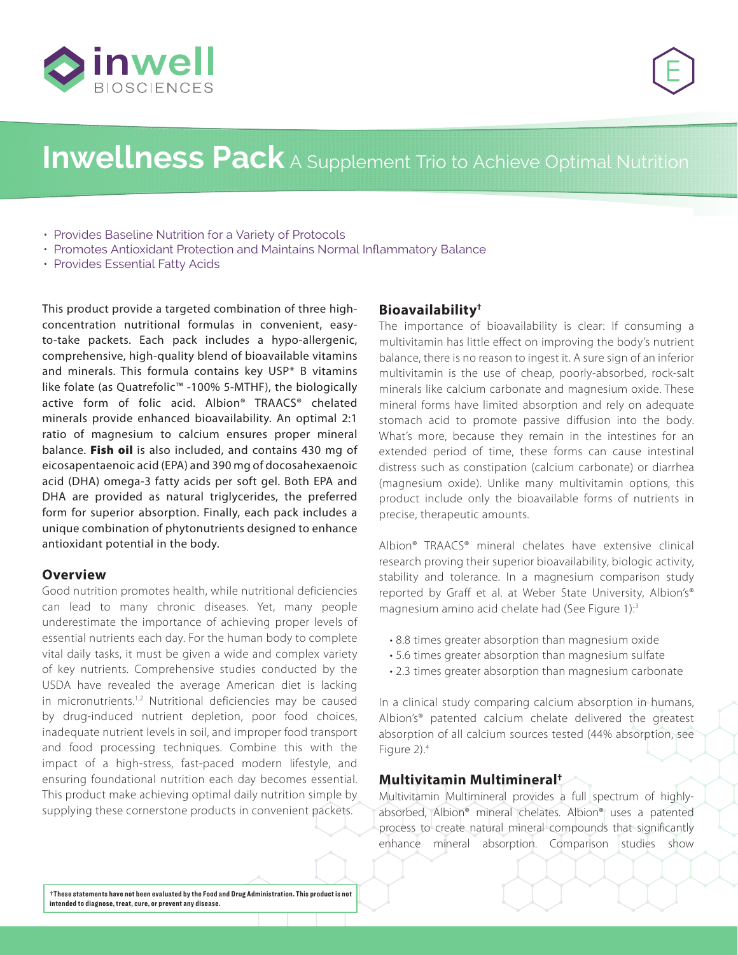



# **Inwellness Pack** A Supplement Trio to Achieve Optimal Nutrition

- Provides Baseline Nutrition for a Variety of Protocols
- Promotes Antioxidant Protection and Maintains Normal Inflammatory Balance
- Provides Essential Fatty Acids

This product provide a targeted combination of three highconcentration nutritional formulas in convenient, easyto-take packets. Each pack includes a hypo-allergenic, comprehensive, high-quality blend of bioavailable vitamins and minerals. This formula contains key USP\* B vitamins like folate (as Quatrefolic™ -100% 5-MTHF), the biologically active form of folic acid. Albion® TRAACS® chelated minerals provide enhanced bioavailability. An optimal 2:1 ratio of magnesium to calcium ensures proper mineral balance. Fish oil is also included, and contains 430 mg of eicosapentaenoic acid (EPA) and 390 mg of docosahexaenoic acid (DHA) omega-3 fatty acids per soft gel. Both EPA and DHA are provided as natural triglycerides, the preferred form for superior absorption. Finally, each pack includes a unique combination of phytonutrients designed to enhance antioxidant potential in the body.

#### **Overview**

Good nutrition promotes health, while nutritional deficiencies can lead to many chronic diseases. Yet, many people underestimate the importance of achieving proper levels of essential nutrients each day. For the human body to complete vital daily tasks, it must be given a wide and complex variety of key nutrients. Comprehensive studies conducted by the USDA have revealed the average American diet is lacking in micronutrients.<sup>1,2</sup> Nutritional deficiencies may be caused by drug-induced nutrient depletion, poor food choices, inadequate nutrient levels in soil, and improper food transport and food processing techniques. Combine this with the impact of a high-stress, fast-paced modern lifestyle, and ensuring foundational nutrition each day becomes essential. This product make achieving optimal daily nutrition simple by supplying these cornerstone products in convenient packets.

#### **Bioavailability†**

The importance of bioavailability is clear: If consuming a multivitamin has little effect on improving the body's nutrient balance, there is no reason to ingest it. A sure sign of an inferior multivitamin is the use of cheap, poorly-absorbed, rock-salt minerals like calcium carbonate and magnesium oxide. These mineral forms have limited absorption and rely on adequate stomach acid to promote passive diffusion into the body. What's more, because they remain in the intestines for an extended period of time, these forms can cause intestinal distress such as constipation (calcium carbonate) or diarrhea (magnesium oxide). Unlike many multivitamin options, this product include only the bioavailable forms of nutrients in precise, therapeutic amounts.

Albion® TRAACS® mineral chelates have extensive clinical research proving their superior bioavailability, biologic activity, stability and tolerance. In a magnesium comparison study reported by Graff et al. at Weber State University, Albion's® magnesium amino acid chelate had (See Figure 1):3

- 8.8 times greater absorption than magnesium oxide
- 5.6 times greater absorption than magnesium sulfate
- 2.3 times greater absorption than magnesium carbonate

In a clinical study comparing calcium absorption in humans, Albion's® patented calcium chelate delivered the greatest absorption of all calcium sources tested (44% absorption, see Figure 2).4

#### **Multivitamin Multimineral†**

Multivitamin Multimineral provides a full spectrum of highlyabsorbed, Albion® mineral chelates. Albion® uses a patented process to create natural mineral compounds that significantly enhance mineral absorption. Comparison studies show

**†These statements have not been evaluated by the Food and Drug Administration. This product is not intended to diagnose, treat, cure, or prevent any disease.**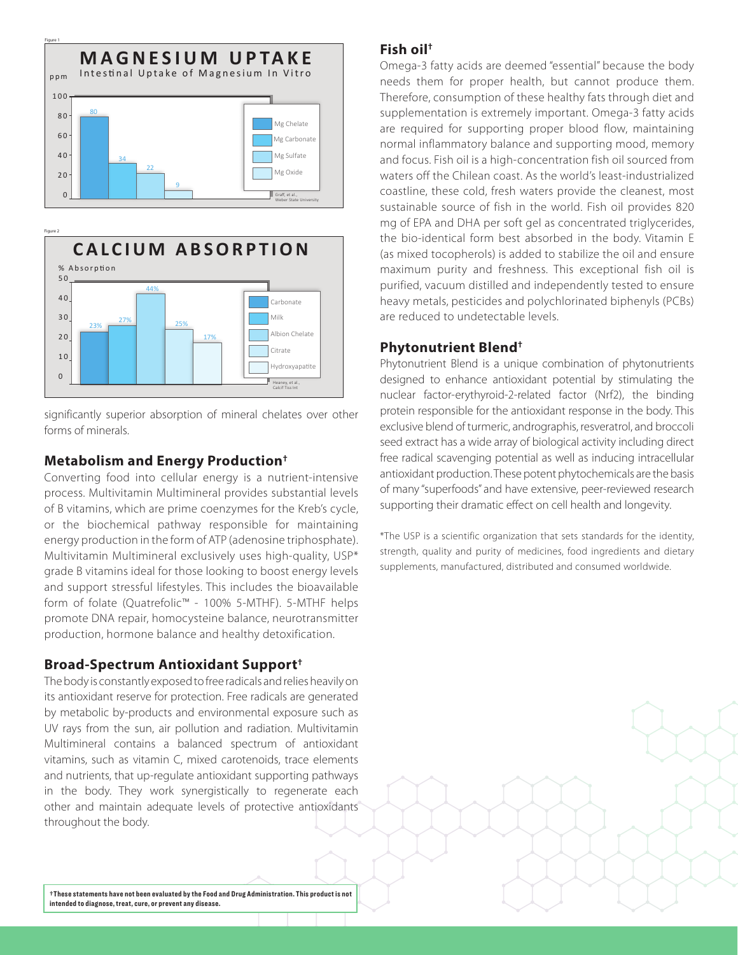



significantly superior absorption of mineral chelates over other forms of minerals.

### **Metabolism and Energy Production†**

Converting food into cellular energy is a nutrient-intensive process. Multivitamin Multimineral provides substantial levels of B vitamins, which are prime coenzymes for the Kreb's cycle, or the biochemical pathway responsible for maintaining energy production in the form of ATP (adenosine triphosphate). Multivitamin Multimineral exclusively uses high-quality, USP\* grade B vitamins ideal for those looking to boost energy levels and support stressful lifestyles. This includes the bioavailable form of folate (Quatrefolic™ - 100% 5-MTHF). 5-MTHF helps promote DNA repair, homocysteine balance, neurotransmitter production, hormone balance and healthy detoxification.

## **Broad-Spectrum Antioxidant Support†**

The body is constantly exposed to free radicals and relies heavily on its antioxidant reserve for protection. Free radicals are generated by metabolic by-products and environmental exposure such as UV rays from the sun, air pollution and radiation. Multivitamin Multimineral contains a balanced spectrum of antioxidant vitamins, such as vitamin C, mixed carotenoids, trace elements and nutrients, that up-regulate antioxidant supporting pathways in the body. They work synergistically to regenerate each other and maintain adequate levels of protective antioxidants throughout the body.

**†These statements have not been evaluated by the Food and Drug Administration. This product is not intended to diagnose, treat, cure, or prevent any disease.**

### **Fish oil†**

Omega-3 fatty acids are deemed "essential" because the body needs them for proper health, but cannot produce them. Therefore, consumption of these healthy fats through diet and supplementation is extremely important. Omega-3 fatty acids are required for supporting proper blood flow, maintaining normal inflammatory balance and supporting mood, memory and focus. Fish oil is a high-concentration fish oil sourced from waters off the Chilean coast. As the world's least-industrialized coastline, these cold, fresh waters provide the cleanest, most sustainable source of fish in the world. Fish oil provides 820 mg of EPA and DHA per soft gel as concentrated triglycerides, the bio-identical form best absorbed in the body. Vitamin E (as mixed tocopherols) is added to stabilize the oil and ensure maximum purity and freshness. This exceptional fish oil is purified, vacuum distilled and independently tested to ensure heavy metals, pesticides and polychlorinated biphenyls (PCBs) are reduced to undetectable levels.

## **Phytonutrient Blend†**

Phytonutrient Blend is a unique combination of phytonutrients designed to enhance antioxidant potential by stimulating the nuclear factor-erythyroid-2-related factor (Nrf2), the binding protein responsible for the antioxidant response in the body. This exclusive blend of turmeric, andrographis, resveratrol, and broccoli seed extract has a wide array of biological activity including direct free radical scavenging potential as well as inducing intracellular antioxidant production. These potent phytochemicals are the basis of many "superfoods" and have extensive, peer-reviewed research supporting their dramatic effect on cell health and longevity.

\*The USP is a scientific organization that sets standards for the identity, strength, quality and purity of medicines, food ingredients and dietary supplements, manufactured, distributed and consumed worldwide.